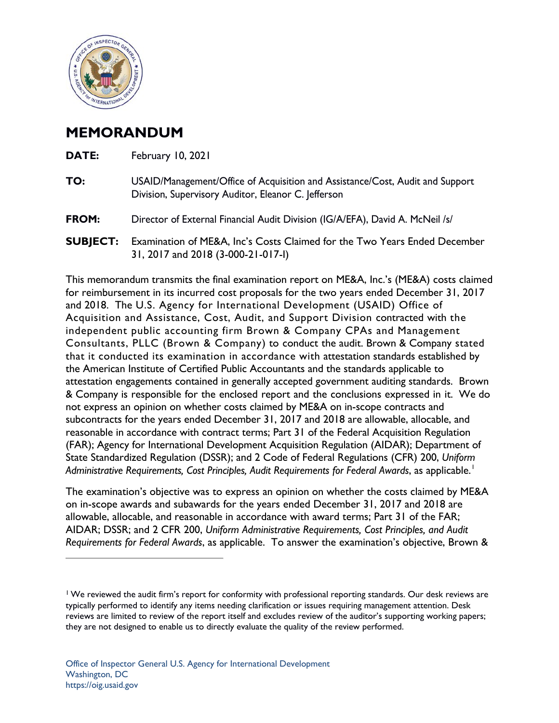

## **MEMORANDUM**

| February 10, 2021                                                                                                                    |
|--------------------------------------------------------------------------------------------------------------------------------------|
| USAID/Management/Office of Acquisition and Assistance/Cost, Audit and Support<br>Division, Supervisory Auditor, Eleanor C. Jefferson |
| Director of External Financial Audit Division (IG/A/EFA), David A. McNeil /s/                                                        |
| Examination of ME&A, Inc's Costs Claimed for the Two Years Ended December<br>31, 2017 and 2018 (3-000-21-017-l)                      |
|                                                                                                                                      |

This memorandum transmits the final examination report on ME&A, Inc.'s (ME&A) costs claimed for reimbursement in its incurred cost proposals for the two years ended December 31, 2017 and 2018. The U.S. Agency for International Development (USAID) Office of Acquisition and Assistance, Cost, Audit, and Support Division contracted with the independent public accounting firm Brown & Company CPAs and Management Consultants, PLLC (Brown & Company) to conduct the audit. Brown & Company stated that it conducted its examination in accordance with attestation standards established by the American Institute of Certified Public Accountants and the standards applicable to attestation engagements contained in generally accepted government auditing standards. Brown & Company is responsible for the enclosed report and the conclusions expressed in it. We do not express an opinion on whether costs claimed by ME&A on in-scope contracts and subcontracts for the years ended December 31, 2017 and 2018 are allowable, allocable, and reasonable in accordance with contract terms; Part 31 of the Federal Acquisition Regulation (FAR); Agency for International Development Acquisition Regulation (AIDAR); Department of State Standardized Regulation (DSSR); and 2 Code of Federal Regulations (CFR) 200, *Uniform Administrative Requirements, Cost Principles, Audit Requirements for Federal Awards*, as applicable. [1](#page-0-0)

The examination's objective was to express an opinion on whether the costs claimed by ME&A on in-scope awards and subawards for the years ended December 31, 2017 and 2018 are allowable, allocable, and reasonable in accordance with award terms; Part 31 of the FAR; AIDAR; DSSR; and 2 CFR 200, *Uniform Administrative Requirements, Cost Principles, and Audit Requirements for Federal Awards*, as applicable. To answer the examination's objective, Brown &

<span id="page-0-0"></span><sup>1</sup> We reviewed the audit firm's report for conformity with professional reporting standards. Our desk reviews are typically performed to identify any items needing clarification or issues requiring management attention. Desk reviews are limited to review of the report itself and excludes review of the auditor's supporting working papers; they are not designed to enable us to directly evaluate the quality of the review performed.